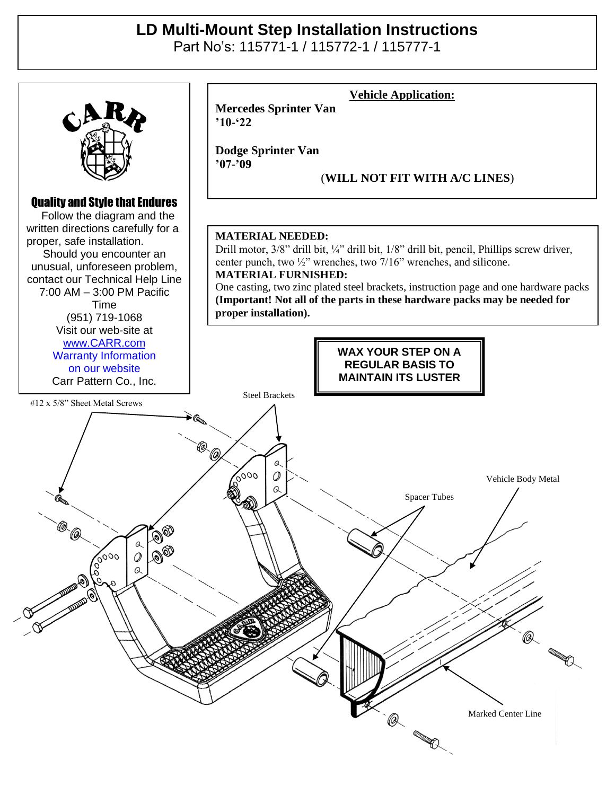## **LD Multi-Mount Step Installation Instructions**

Part No's: 115771-1 / 115772-1 / 115777-1